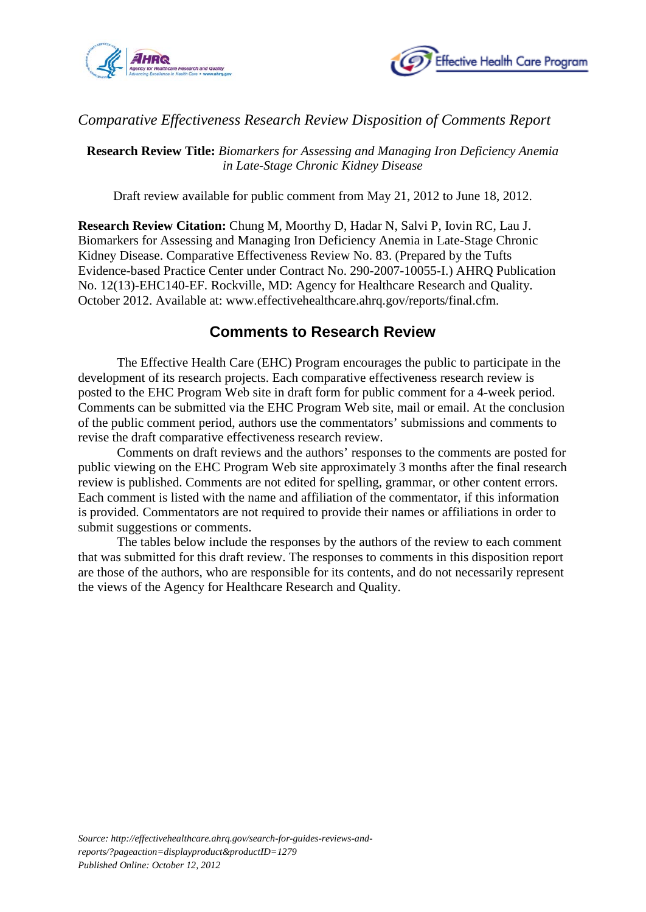



## *Comparative Effectiveness Research Review Disposition of Comments Report*

**Research Review Title:** *Biomarkers for Assessing and Managing Iron Deficiency Anemia in Late-Stage Chronic Kidney Disease*

Draft review available for public comment from May 21, 2012 to June 18, 2012.

**Research Review Citation:** Chung M, Moorthy D, Hadar N, Salvi P, Iovin RC, Lau J. Biomarkers for Assessing and Managing Iron Deficiency Anemia in Late-Stage Chronic Kidney Disease. Comparative Effectiveness Review No. 83. (Prepared by the Tufts Evidence-based Practice Center under Contract No. 290-2007-10055-I.) AHRQ Publication No. 12(13)-EHC140-EF. Rockville, MD: Agency for Healthcare Research and Quality. October 2012. Available at: www.effectivehealthcare.ahrq.gov/reports/final.cfm.

## **Comments to Research Review**

The Effective Health Care (EHC) Program encourages the public to participate in the development of its research projects. Each comparative effectiveness research review is posted to the EHC Program Web site in draft form for public comment for a 4-week period. Comments can be submitted via the EHC Program Web site, mail or email. At the conclusion of the public comment period, authors use the commentators' submissions and comments to revise the draft comparative effectiveness research review.

Comments on draft reviews and the authors' responses to the comments are posted for public viewing on the EHC Program Web site approximately 3 months after the final research review is published. Comments are not edited for spelling, grammar, or other content errors. Each comment is listed with the name and affiliation of the commentator, if this information is provided*.* Commentators are not required to provide their names or affiliations in order to submit suggestions or comments.

The tables below include the responses by the authors of the review to each comment that was submitted for this draft review. The responses to comments in this disposition report are those of the authors, who are responsible for its contents, and do not necessarily represent the views of the Agency for Healthcare Research and Quality.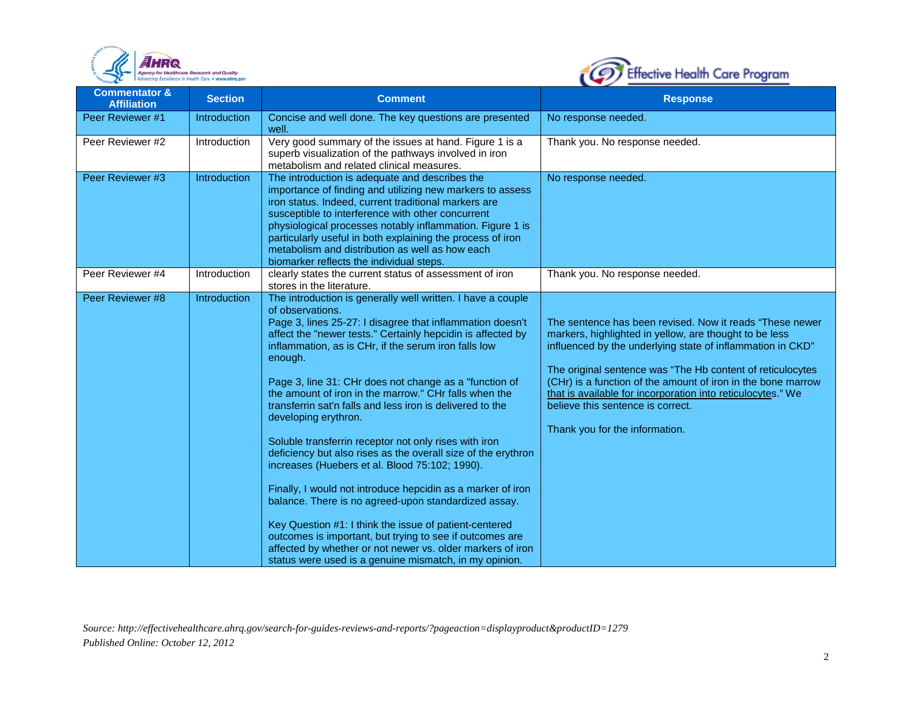



| <b>Commentator &amp;</b><br><b>Affiliation</b> | <b>Section</b>      | <b>Comment</b>                                                                                                                                                                                                                                                                                                                                                                                                                                                                                                                                                                                                                                                                                                                                                                                                                                                                                                                                                                                                                          | <b>Response</b>                                                                                                                                                                                                                                                                                                                                                                                                                                      |
|------------------------------------------------|---------------------|-----------------------------------------------------------------------------------------------------------------------------------------------------------------------------------------------------------------------------------------------------------------------------------------------------------------------------------------------------------------------------------------------------------------------------------------------------------------------------------------------------------------------------------------------------------------------------------------------------------------------------------------------------------------------------------------------------------------------------------------------------------------------------------------------------------------------------------------------------------------------------------------------------------------------------------------------------------------------------------------------------------------------------------------|------------------------------------------------------------------------------------------------------------------------------------------------------------------------------------------------------------------------------------------------------------------------------------------------------------------------------------------------------------------------------------------------------------------------------------------------------|
| Peer Reviewer #1                               | <b>Introduction</b> | Concise and well done. The key questions are presented<br>well.                                                                                                                                                                                                                                                                                                                                                                                                                                                                                                                                                                                                                                                                                                                                                                                                                                                                                                                                                                         | No response needed.                                                                                                                                                                                                                                                                                                                                                                                                                                  |
| Peer Reviewer #2                               | Introduction        | Very good summary of the issues at hand. Figure 1 is a<br>superb visualization of the pathways involved in iron<br>metabolism and related clinical measures.                                                                                                                                                                                                                                                                                                                                                                                                                                                                                                                                                                                                                                                                                                                                                                                                                                                                            | Thank you. No response needed.                                                                                                                                                                                                                                                                                                                                                                                                                       |
| Peer Reviewer #3                               | Introduction        | The introduction is adequate and describes the<br>importance of finding and utilizing new markers to assess<br>iron status. Indeed, current traditional markers are<br>susceptible to interference with other concurrent<br>physiological processes notably inflammation. Figure 1 is<br>particularly useful in both explaining the process of iron<br>metabolism and distribution as well as how each<br>biomarker reflects the individual steps.                                                                                                                                                                                                                                                                                                                                                                                                                                                                                                                                                                                      | No response needed.                                                                                                                                                                                                                                                                                                                                                                                                                                  |
| Peer Reviewer #4                               | Introduction        | clearly states the current status of assessment of iron<br>stores in the literature.                                                                                                                                                                                                                                                                                                                                                                                                                                                                                                                                                                                                                                                                                                                                                                                                                                                                                                                                                    | Thank you. No response needed.                                                                                                                                                                                                                                                                                                                                                                                                                       |
| Peer Reviewer #8                               | Introduction        | The introduction is generally well written. I have a couple<br>of observations.<br>Page 3, lines 25-27: I disagree that inflammation doesn't<br>affect the "newer tests." Certainly hepcidin is affected by<br>inflammation, as is CHr, if the serum iron falls low<br>enough.<br>Page 3, line 31: CHr does not change as a "function of<br>the amount of iron in the marrow." CHr falls when the<br>transferrin sat'n falls and less iron is delivered to the<br>developing erythron.<br>Soluble transferrin receptor not only rises with iron<br>deficiency but also rises as the overall size of the erythron<br>increases (Huebers et al. Blood 75:102; 1990).<br>Finally, I would not introduce hepcidin as a marker of iron<br>balance. There is no agreed-upon standardized assay.<br>Key Question #1: I think the issue of patient-centered<br>outcomes is important, but trying to see if outcomes are<br>affected by whether or not newer vs. older markers of iron<br>status were used is a genuine mismatch, in my opinion. | The sentence has been revised. Now it reads "These newer<br>markers, highlighted in yellow, are thought to be less<br>influenced by the underlying state of inflammation in CKD"<br>The original sentence was "The Hb content of reticulocytes<br>(CHr) is a function of the amount of iron in the bone marrow<br>that is available for incorporation into reticulocytes." We<br>believe this sentence is correct.<br>Thank you for the information. |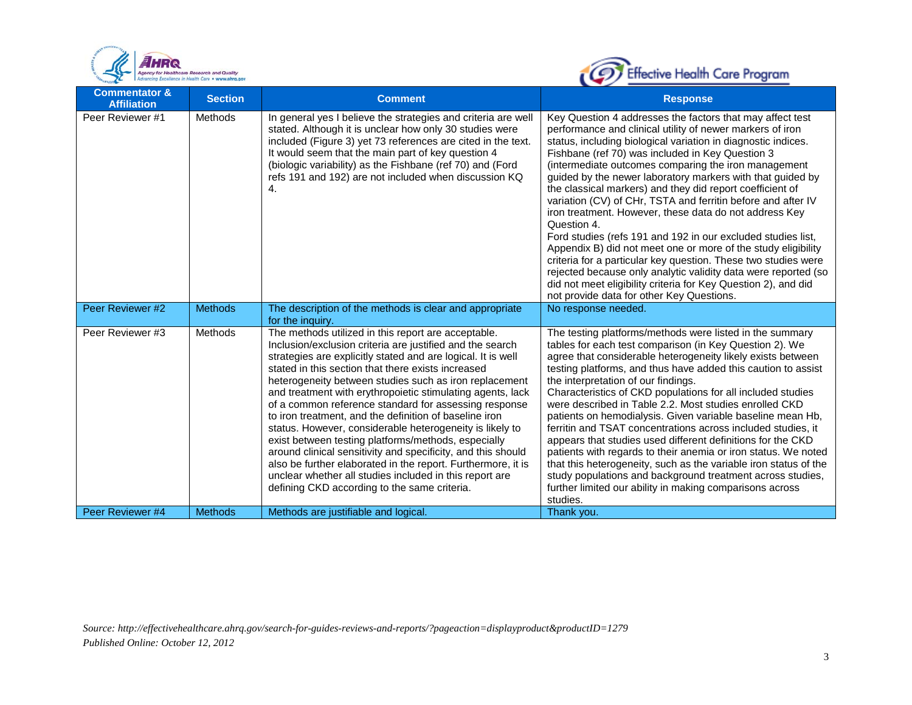



| <b>Commentator &amp;</b><br><b>Affiliation</b> | <b>Section</b> | <b>Comment</b>                                                                                                                                                                                                                                                                                                                                                                                                                                                                                                                                                                                                                                                                                                                                                                                                                                  | <b>Response</b>                                                                                                                                                                                                                                                                                                                                                                                                                                                                                                                                                                                                                                                                                                                                                                                                                                                                                                                                             |
|------------------------------------------------|----------------|-------------------------------------------------------------------------------------------------------------------------------------------------------------------------------------------------------------------------------------------------------------------------------------------------------------------------------------------------------------------------------------------------------------------------------------------------------------------------------------------------------------------------------------------------------------------------------------------------------------------------------------------------------------------------------------------------------------------------------------------------------------------------------------------------------------------------------------------------|-------------------------------------------------------------------------------------------------------------------------------------------------------------------------------------------------------------------------------------------------------------------------------------------------------------------------------------------------------------------------------------------------------------------------------------------------------------------------------------------------------------------------------------------------------------------------------------------------------------------------------------------------------------------------------------------------------------------------------------------------------------------------------------------------------------------------------------------------------------------------------------------------------------------------------------------------------------|
| Peer Reviewer #1                               | <b>Methods</b> | In general yes I believe the strategies and criteria are well<br>stated. Although it is unclear how only 30 studies were<br>included (Figure 3) yet 73 references are cited in the text.<br>It would seem that the main part of key question 4<br>(biologic variability) as the Fishbane (ref 70) and (Ford<br>refs 191 and 192) are not included when discussion KQ<br>4.                                                                                                                                                                                                                                                                                                                                                                                                                                                                      | Key Question 4 addresses the factors that may affect test<br>performance and clinical utility of newer markers of iron<br>status, including biological variation in diagnostic indices.<br>Fishbane (ref 70) was included in Key Question 3<br>(intermediate outcomes comparing the iron management<br>guided by the newer laboratory markers with that guided by<br>the classical markers) and they did report coefficient of<br>variation (CV) of CHr, TSTA and ferritin before and after IV<br>iron treatment. However, these data do not address Key<br>Question 4.<br>Ford studies (refs 191 and 192 in our excluded studies list,<br>Appendix B) did not meet one or more of the study eligibility<br>criteria for a particular key question. These two studies were<br>rejected because only analytic validity data were reported (so<br>did not meet eligibility criteria for Key Question 2), and did<br>not provide data for other Key Questions. |
| Peer Reviewer #2                               | <b>Methods</b> | The description of the methods is clear and appropriate<br>for the inquiry.                                                                                                                                                                                                                                                                                                                                                                                                                                                                                                                                                                                                                                                                                                                                                                     | No response needed.                                                                                                                                                                                                                                                                                                                                                                                                                                                                                                                                                                                                                                                                                                                                                                                                                                                                                                                                         |
| Peer Reviewer #3                               | <b>Methods</b> | The methods utilized in this report are acceptable.<br>Inclusion/exclusion criteria are justified and the search<br>strategies are explicitly stated and are logical. It is well<br>stated in this section that there exists increased<br>heterogeneity between studies such as iron replacement<br>and treatment with erythropoietic stimulating agents, lack<br>of a common reference standard for assessing response<br>to iron treatment, and the definition of baseline iron<br>status. However, considerable heterogeneity is likely to<br>exist between testing platforms/methods, especially<br>around clinical sensitivity and specificity, and this should<br>also be further elaborated in the report. Furthermore, it is<br>unclear whether all studies included in this report are<br>defining CKD according to the same criteria. | The testing platforms/methods were listed in the summary<br>tables for each test comparison (in Key Question 2). We<br>agree that considerable heterogeneity likely exists between<br>testing platforms, and thus have added this caution to assist<br>the interpretation of our findings.<br>Characteristics of CKD populations for all included studies<br>were described in Table 2.2. Most studies enrolled CKD<br>patients on hemodialysis. Given variable baseline mean Hb,<br>ferritin and TSAT concentrations across included studies, it<br>appears that studies used different definitions for the CKD<br>patients with regards to their anemia or iron status. We noted<br>that this heterogeneity, such as the variable iron status of the<br>study populations and background treatment across studies,<br>further limited our ability in making comparisons across<br>studies.                                                                |
| Peer Reviewer #4                               | <b>Methods</b> | Methods are justifiable and logical.                                                                                                                                                                                                                                                                                                                                                                                                                                                                                                                                                                                                                                                                                                                                                                                                            | Thank you.                                                                                                                                                                                                                                                                                                                                                                                                                                                                                                                                                                                                                                                                                                                                                                                                                                                                                                                                                  |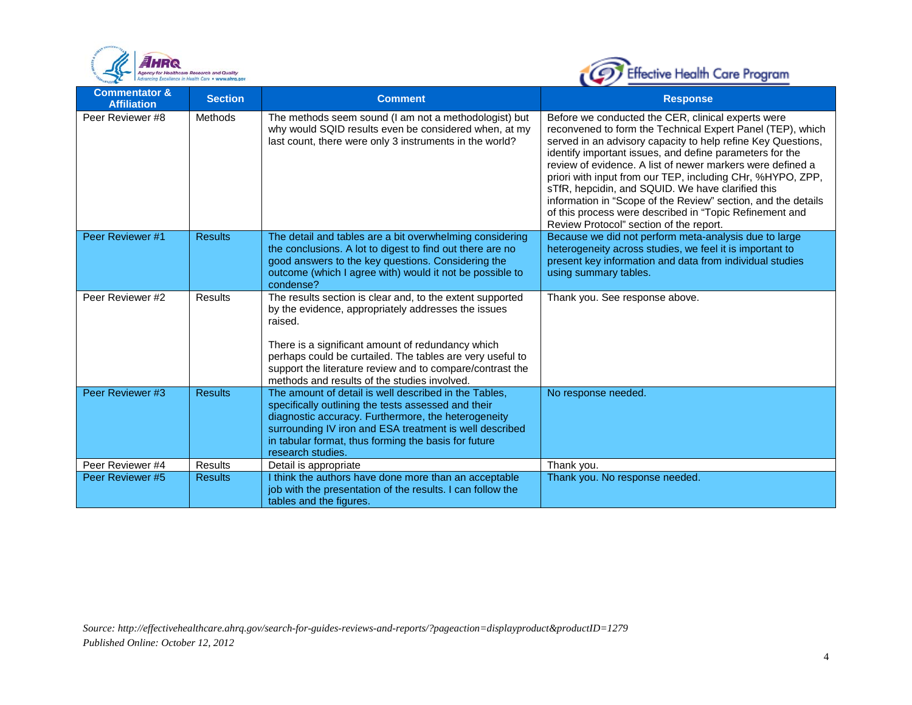



| <b>Commentator &amp;</b><br><b>Affiliation</b> | <b>Section</b> | <b>Comment</b>                                                                                                                                                                                                                                                                                                                                             | <b>Response</b>                                                                                                                                                                                                                                                                                                                                                                                                                                                                                                                                                                                      |
|------------------------------------------------|----------------|------------------------------------------------------------------------------------------------------------------------------------------------------------------------------------------------------------------------------------------------------------------------------------------------------------------------------------------------------------|------------------------------------------------------------------------------------------------------------------------------------------------------------------------------------------------------------------------------------------------------------------------------------------------------------------------------------------------------------------------------------------------------------------------------------------------------------------------------------------------------------------------------------------------------------------------------------------------------|
| Peer Reviewer #8                               | <b>Methods</b> | The methods seem sound (I am not a methodologist) but<br>why would SQID results even be considered when, at my<br>last count, there were only 3 instruments in the world?                                                                                                                                                                                  | Before we conducted the CER, clinical experts were<br>reconvened to form the Technical Expert Panel (TEP), which<br>served in an advisory capacity to help refine Key Questions,<br>identify important issues, and define parameters for the<br>review of evidence. A list of newer markers were defined a<br>priori with input from our TEP, including CHr, %HYPO, ZPP,<br>sTfR, hepcidin, and SQUID. We have clarified this<br>information in "Scope of the Review" section, and the details<br>of this process were described in "Topic Refinement and<br>Review Protocol" section of the report. |
| Peer Reviewer #1                               | <b>Results</b> | The detail and tables are a bit overwhelming considering<br>the conclusions. A lot to digest to find out there are no<br>good answers to the key questions. Considering the<br>outcome (which I agree with) would it not be possible to<br>condense?                                                                                                       | Because we did not perform meta-analysis due to large<br>heterogeneity across studies, we feel it is important to<br>present key information and data from individual studies<br>using summary tables.                                                                                                                                                                                                                                                                                                                                                                                               |
| Peer Reviewer #2                               | <b>Results</b> | The results section is clear and, to the extent supported<br>by the evidence, appropriately addresses the issues<br>raised.<br>There is a significant amount of redundancy which<br>perhaps could be curtailed. The tables are very useful to<br>support the literature review and to compare/contrast the<br>methods and results of the studies involved. | Thank you. See response above.                                                                                                                                                                                                                                                                                                                                                                                                                                                                                                                                                                       |
| Peer Reviewer #3                               | <b>Results</b> | The amount of detail is well described in the Tables,<br>specifically outlining the tests assessed and their<br>diagnostic accuracy. Furthermore, the heterogeneity<br>surrounding IV iron and ESA treatment is well described<br>in tabular format, thus forming the basis for future<br>research studies.                                                | No response needed.                                                                                                                                                                                                                                                                                                                                                                                                                                                                                                                                                                                  |
| Peer Reviewer #4                               | <b>Results</b> | Detail is appropriate                                                                                                                                                                                                                                                                                                                                      | Thank you.                                                                                                                                                                                                                                                                                                                                                                                                                                                                                                                                                                                           |
| Peer Reviewer #5                               | <b>Results</b> | I think the authors have done more than an acceptable<br>job with the presentation of the results. I can follow the<br>tables and the figures.                                                                                                                                                                                                             | Thank you. No response needed.                                                                                                                                                                                                                                                                                                                                                                                                                                                                                                                                                                       |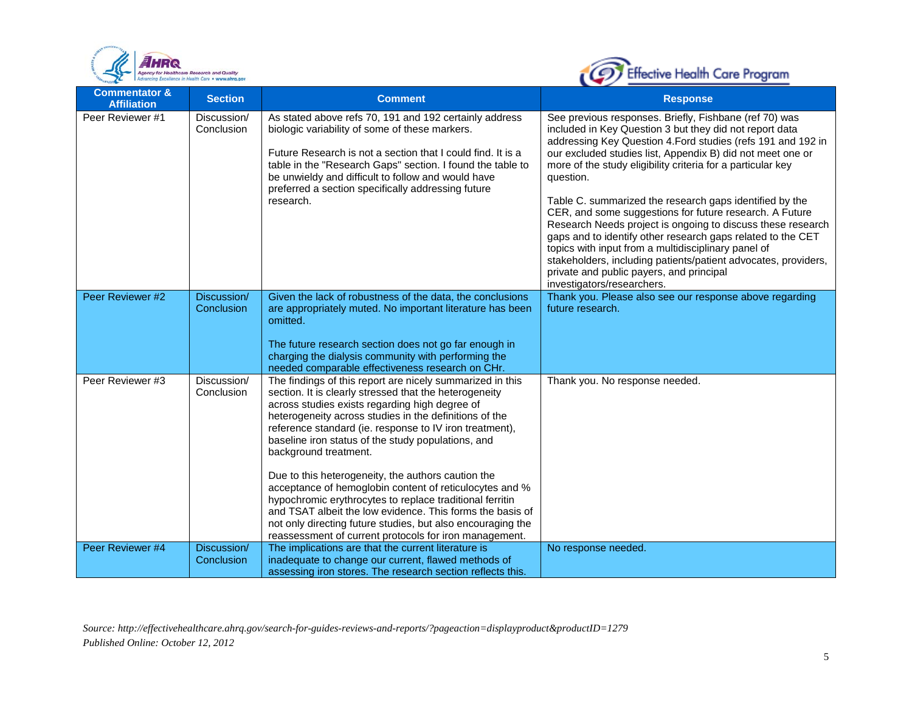



| <b>Commentator &amp;</b><br><b>Affiliation</b> | <b>Section</b>            | <b>Comment</b>                                                                                                                                                                                                                                                                                                                                                                                                                                                                                                                                                                                                                                                                                                                               | <b>Response</b>                                                                                                                                                                                                                                                                                                                                                                                                                                                                                                                                                                                                                                                                                                                                                                    |
|------------------------------------------------|---------------------------|----------------------------------------------------------------------------------------------------------------------------------------------------------------------------------------------------------------------------------------------------------------------------------------------------------------------------------------------------------------------------------------------------------------------------------------------------------------------------------------------------------------------------------------------------------------------------------------------------------------------------------------------------------------------------------------------------------------------------------------------|------------------------------------------------------------------------------------------------------------------------------------------------------------------------------------------------------------------------------------------------------------------------------------------------------------------------------------------------------------------------------------------------------------------------------------------------------------------------------------------------------------------------------------------------------------------------------------------------------------------------------------------------------------------------------------------------------------------------------------------------------------------------------------|
| Peer Reviewer #1                               | Discussion/<br>Conclusion | As stated above refs 70, 191 and 192 certainly address<br>biologic variability of some of these markers.<br>Future Research is not a section that I could find. It is a<br>table in the "Research Gaps" section. I found the table to<br>be unwieldy and difficult to follow and would have<br>preferred a section specifically addressing future<br>research.                                                                                                                                                                                                                                                                                                                                                                               | See previous responses. Briefly, Fishbane (ref 70) was<br>included in Key Question 3 but they did not report data<br>addressing Key Question 4. Ford studies (refs 191 and 192 in<br>our excluded studies list, Appendix B) did not meet one or<br>more of the study eligibility criteria for a particular key<br>question.<br>Table C. summarized the research gaps identified by the<br>CER, and some suggestions for future research. A Future<br>Research Needs project is ongoing to discuss these research<br>gaps and to identify other research gaps related to the CET<br>topics with input from a multidisciplinary panel of<br>stakeholders, including patients/patient advocates, providers,<br>private and public payers, and principal<br>investigators/researchers. |
| Peer Reviewer #2                               | Discussion/<br>Conclusion | Given the lack of robustness of the data, the conclusions<br>are appropriately muted. No important literature has been<br>omitted.<br>The future research section does not go far enough in<br>charging the dialysis community with performing the<br>needed comparable effectiveness research on CHr.                                                                                                                                                                                                                                                                                                                                                                                                                                       | Thank you. Please also see our response above regarding<br>future research.                                                                                                                                                                                                                                                                                                                                                                                                                                                                                                                                                                                                                                                                                                        |
| Peer Reviewer #3                               | Discussion/<br>Conclusion | The findings of this report are nicely summarized in this<br>section. It is clearly stressed that the heterogeneity<br>across studies exists regarding high degree of<br>heterogeneity across studies in the definitions of the<br>reference standard (ie. response to IV iron treatment),<br>baseline iron status of the study populations, and<br>background treatment.<br>Due to this heterogeneity, the authors caution the<br>acceptance of hemoglobin content of reticulocytes and %<br>hypochromic erythrocytes to replace traditional ferritin<br>and TSAT albeit the low evidence. This forms the basis of<br>not only directing future studies, but also encouraging the<br>reassessment of current protocols for iron management. | Thank you. No response needed.                                                                                                                                                                                                                                                                                                                                                                                                                                                                                                                                                                                                                                                                                                                                                     |
| Peer Reviewer #4                               | Discussion/<br>Conclusion | The implications are that the current literature is<br>inadequate to change our current, flawed methods of<br>assessing iron stores. The research section reflects this.                                                                                                                                                                                                                                                                                                                                                                                                                                                                                                                                                                     | No response needed.                                                                                                                                                                                                                                                                                                                                                                                                                                                                                                                                                                                                                                                                                                                                                                |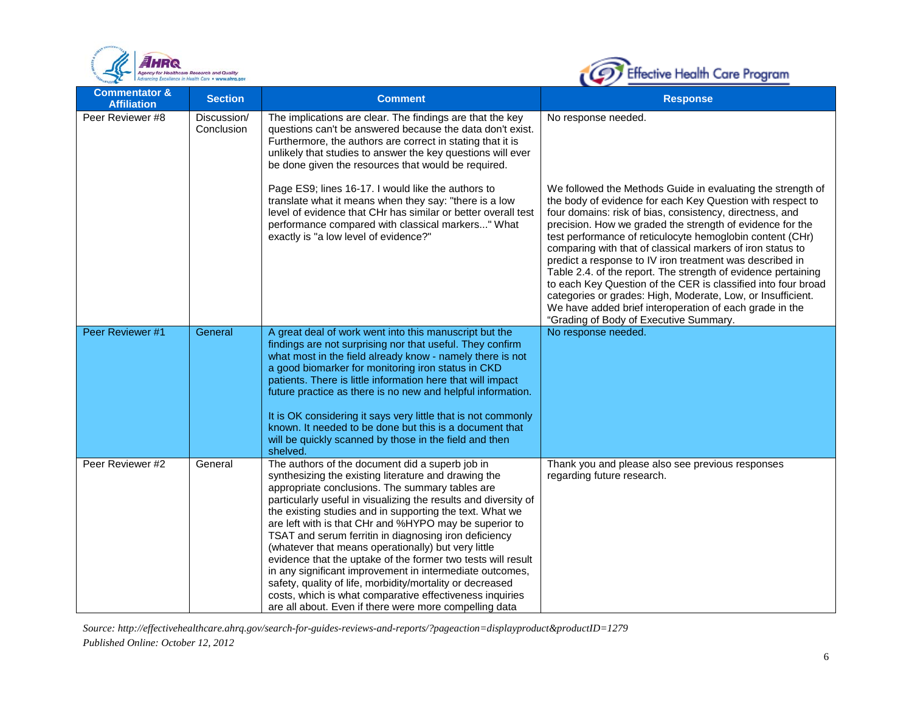



| <b>Commentator &amp;</b><br><b>Affiliation</b> | <b>Section</b>            | <b>Comment</b>                                                                                                                                                                                                                                                                                                                                                                                                                                                                                                                                                                                                                                                                                                                                                                     | <b>Response</b>                                                                                                                                                                                                                                                                                                                                                                                                                                                                                                                                                                                                                                                                                                                                 |
|------------------------------------------------|---------------------------|------------------------------------------------------------------------------------------------------------------------------------------------------------------------------------------------------------------------------------------------------------------------------------------------------------------------------------------------------------------------------------------------------------------------------------------------------------------------------------------------------------------------------------------------------------------------------------------------------------------------------------------------------------------------------------------------------------------------------------------------------------------------------------|-------------------------------------------------------------------------------------------------------------------------------------------------------------------------------------------------------------------------------------------------------------------------------------------------------------------------------------------------------------------------------------------------------------------------------------------------------------------------------------------------------------------------------------------------------------------------------------------------------------------------------------------------------------------------------------------------------------------------------------------------|
| Peer Reviewer #8                               | Discussion/<br>Conclusion | The implications are clear. The findings are that the key<br>questions can't be answered because the data don't exist.<br>Furthermore, the authors are correct in stating that it is<br>unlikely that studies to answer the key questions will ever<br>be done given the resources that would be required.                                                                                                                                                                                                                                                                                                                                                                                                                                                                         | No response needed.                                                                                                                                                                                                                                                                                                                                                                                                                                                                                                                                                                                                                                                                                                                             |
|                                                |                           | Page ES9; lines 16-17. I would like the authors to<br>translate what it means when they say: "there is a low<br>level of evidence that CHr has similar or better overall test<br>performance compared with classical markers" What<br>exactly is "a low level of evidence?"                                                                                                                                                                                                                                                                                                                                                                                                                                                                                                        | We followed the Methods Guide in evaluating the strength of<br>the body of evidence for each Key Question with respect to<br>four domains: risk of bias, consistency, directness, and<br>precision. How we graded the strength of evidence for the<br>test performance of reticulocyte hemoglobin content (CHr)<br>comparing with that of classical markers of iron status to<br>predict a response to IV iron treatment was described in<br>Table 2.4. of the report. The strength of evidence pertaining<br>to each Key Question of the CER is classified into four broad<br>categories or grades: High, Moderate, Low, or Insufficient.<br>We have added brief interoperation of each grade in the<br>"Grading of Body of Executive Summary. |
| Peer Reviewer #1                               | General                   | A great deal of work went into this manuscript but the<br>findings are not surprising nor that useful. They confirm<br>what most in the field already know - namely there is not<br>a good biomarker for monitoring iron status in CKD<br>patients. There is little information here that will impact<br>future practice as there is no new and helpful information.<br>It is OK considering it says very little that is not commonly<br>known. It needed to be done but this is a document that<br>will be quickly scanned by those in the field and then<br>shelved.                                                                                                                                                                                                             | No response needed.                                                                                                                                                                                                                                                                                                                                                                                                                                                                                                                                                                                                                                                                                                                             |
| Peer Reviewer #2                               | General                   | The authors of the document did a superb job in<br>synthesizing the existing literature and drawing the<br>appropriate conclusions. The summary tables are<br>particularly useful in visualizing the results and diversity of<br>the existing studies and in supporting the text. What we<br>are left with is that CHr and %HYPO may be superior to<br>TSAT and serum ferritin in diagnosing iron deficiency<br>(whatever that means operationally) but very little<br>evidence that the uptake of the former two tests will result<br>in any significant improvement in intermediate outcomes,<br>safety, quality of life, morbidity/mortality or decreased<br>costs, which is what comparative effectiveness inquiries<br>are all about. Even if there were more compelling data | Thank you and please also see previous responses<br>regarding future research.                                                                                                                                                                                                                                                                                                                                                                                                                                                                                                                                                                                                                                                                  |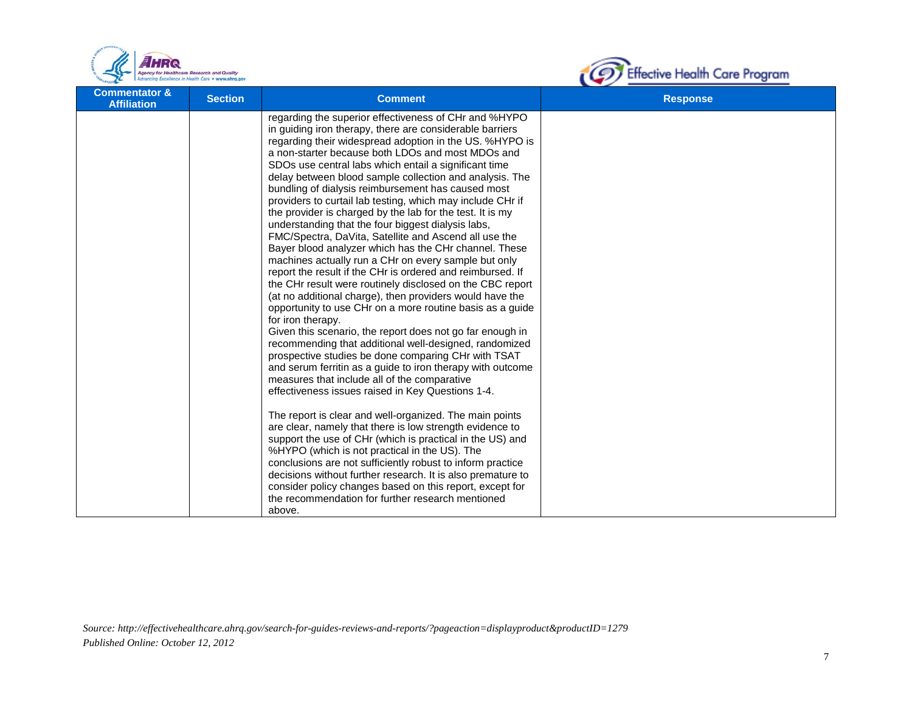



| <b>Commentator &amp;</b><br><b>Affiliation</b> | <b>Section</b> | <b>Comment</b>                                                                                                                                                                                                                                                                                                                                                                                                                                                                                                                                                                                                                                                                                                                                                                                                                                                                                                                                                                                                                                                                                                                                                                                                                                                                                                                                                                                                                                                                                                                                                                                                                                                                                                                                                                                                                                                                                | <b>Response</b> |
|------------------------------------------------|----------------|-----------------------------------------------------------------------------------------------------------------------------------------------------------------------------------------------------------------------------------------------------------------------------------------------------------------------------------------------------------------------------------------------------------------------------------------------------------------------------------------------------------------------------------------------------------------------------------------------------------------------------------------------------------------------------------------------------------------------------------------------------------------------------------------------------------------------------------------------------------------------------------------------------------------------------------------------------------------------------------------------------------------------------------------------------------------------------------------------------------------------------------------------------------------------------------------------------------------------------------------------------------------------------------------------------------------------------------------------------------------------------------------------------------------------------------------------------------------------------------------------------------------------------------------------------------------------------------------------------------------------------------------------------------------------------------------------------------------------------------------------------------------------------------------------------------------------------------------------------------------------------------------------|-----------------|
|                                                |                | regarding the superior effectiveness of CHr and %HYPO<br>in guiding iron therapy, there are considerable barriers<br>regarding their widespread adoption in the US. %HYPO is<br>a non-starter because both LDOs and most MDOs and<br>SDOs use central labs which entail a significant time<br>delay between blood sample collection and analysis. The<br>bundling of dialysis reimbursement has caused most<br>providers to curtail lab testing, which may include CHr if<br>the provider is charged by the lab for the test. It is my<br>understanding that the four biggest dialysis labs,<br>FMC/Spectra, DaVita, Satellite and Ascend all use the<br>Bayer blood analyzer which has the CHr channel. These<br>machines actually run a CHr on every sample but only<br>report the result if the CHr is ordered and reimbursed. If<br>the CHr result were routinely disclosed on the CBC report<br>(at no additional charge), then providers would have the<br>opportunity to use CHr on a more routine basis as a guide<br>for iron therapy.<br>Given this scenario, the report does not go far enough in<br>recommending that additional well-designed, randomized<br>prospective studies be done comparing CHr with TSAT<br>and serum ferritin as a guide to iron therapy with outcome<br>measures that include all of the comparative<br>effectiveness issues raised in Key Questions 1-4.<br>The report is clear and well-organized. The main points<br>are clear, namely that there is low strength evidence to<br>support the use of CHr (which is practical in the US) and<br>%HYPO (which is not practical in the US). The<br>conclusions are not sufficiently robust to inform practice<br>decisions without further research. It is also premature to<br>consider policy changes based on this report, except for<br>the recommendation for further research mentioned<br>above. |                 |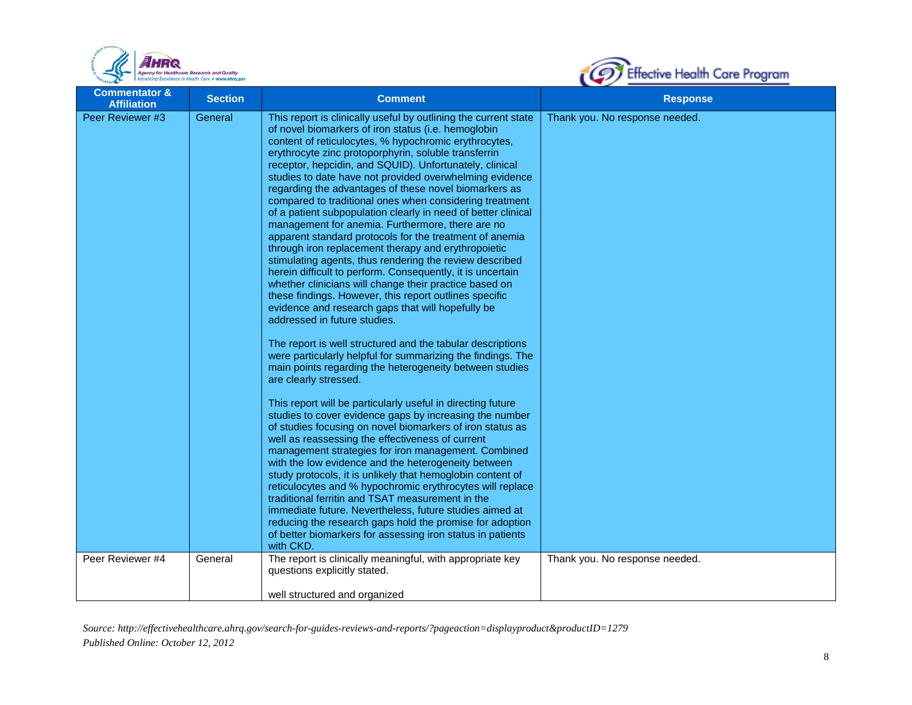



| <b>Commentator &amp;</b><br><b>Affiliation</b> | <b>Section</b> | <b>Comment</b>                                                                                                                                                                                                                                                                                                                                                                                                                                                                                                                                                                                                                                                                                                                                                                                                                                                                                                                                                                                                                                                                                                                                                                                                                                                                                                                                                                                                                                                                                                                                                                                                                                                                                                                                                                                                                                                                                                                                                                                           | <b>Response</b>                |
|------------------------------------------------|----------------|----------------------------------------------------------------------------------------------------------------------------------------------------------------------------------------------------------------------------------------------------------------------------------------------------------------------------------------------------------------------------------------------------------------------------------------------------------------------------------------------------------------------------------------------------------------------------------------------------------------------------------------------------------------------------------------------------------------------------------------------------------------------------------------------------------------------------------------------------------------------------------------------------------------------------------------------------------------------------------------------------------------------------------------------------------------------------------------------------------------------------------------------------------------------------------------------------------------------------------------------------------------------------------------------------------------------------------------------------------------------------------------------------------------------------------------------------------------------------------------------------------------------------------------------------------------------------------------------------------------------------------------------------------------------------------------------------------------------------------------------------------------------------------------------------------------------------------------------------------------------------------------------------------------------------------------------------------------------------------------------------------|--------------------------------|
| Peer Reviewer #3                               | General        | This report is clinically useful by outlining the current state<br>of novel biomarkers of iron status (i.e. hemoglobin<br>content of reticulocytes, % hypochromic erythrocytes,<br>erythrocyte zinc protoporphyrin, soluble transferrin<br>receptor, hepcidin, and SQUID). Unfortunately, clinical<br>studies to date have not provided overwhelming evidence<br>regarding the advantages of these novel biomarkers as<br>compared to traditional ones when considering treatment<br>of a patient subpopulation clearly in need of better clinical<br>management for anemia. Furthermore, there are no<br>apparent standard protocols for the treatment of anemia<br>through iron replacement therapy and erythropoietic<br>stimulating agents, thus rendering the review described<br>herein difficult to perform. Consequently, it is uncertain<br>whether clinicians will change their practice based on<br>these findings. However, this report outlines specific<br>evidence and research gaps that will hopefully be<br>addressed in future studies.<br>The report is well structured and the tabular descriptions<br>were particularly helpful for summarizing the findings. The<br>main points regarding the heterogeneity between studies<br>are clearly stressed.<br>This report will be particularly useful in directing future<br>studies to cover evidence gaps by increasing the number<br>of studies focusing on novel biomarkers of iron status as<br>well as reassessing the effectiveness of current<br>management strategies for iron management. Combined<br>with the low evidence and the heterogeneity between<br>study protocols, it is unlikely that hemoglobin content of<br>reticulocytes and % hypochromic erythrocytes will replace<br>traditional ferritin and TSAT measurement in the<br>immediate future. Nevertheless, future studies aimed at<br>reducing the research gaps hold the promise for adoption<br>of better biomarkers for assessing iron status in patients | Thank you. No response needed. |
| Peer Reviewer #4                               | General        | with CKD.<br>The report is clinically meaningful, with appropriate key<br>questions explicitly stated.<br>well structured and organized                                                                                                                                                                                                                                                                                                                                                                                                                                                                                                                                                                                                                                                                                                                                                                                                                                                                                                                                                                                                                                                                                                                                                                                                                                                                                                                                                                                                                                                                                                                                                                                                                                                                                                                                                                                                                                                                  | Thank you. No response needed. |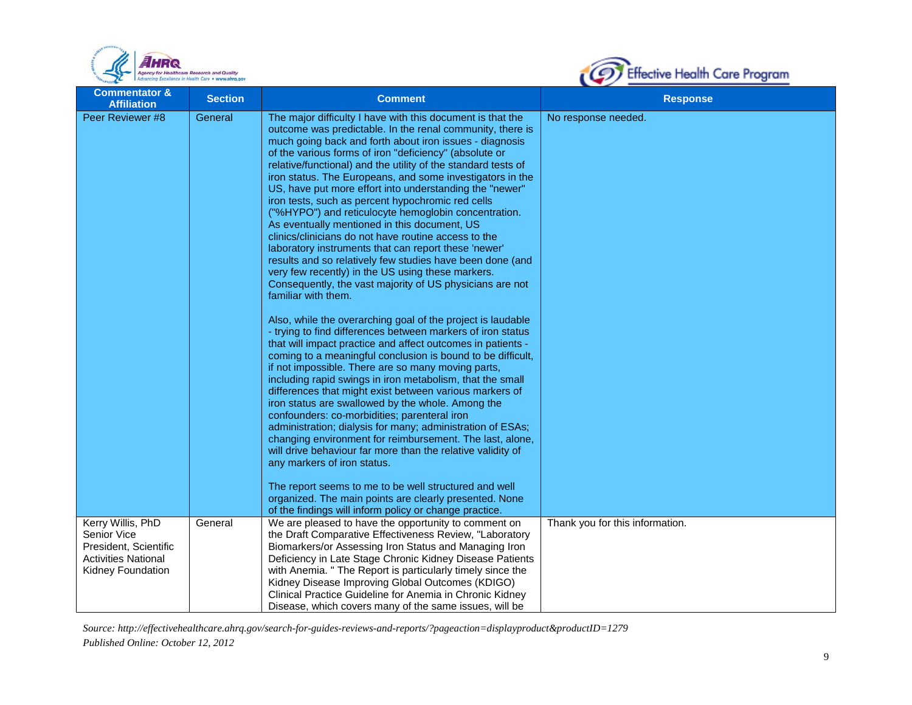



| <b>Commentator &amp;</b><br><b>Affiliation</b>                                          | <b>Section</b>     | <b>Comment</b>                                                                                                                                                                                                                                                                                                                                                                                                                                                                                                                                                                                                                                                                                                                                                                                                                                                                                                                                                                                                                                                                                                                                                                                                                                                                                                                                                                                                                                                                                                                                                                                                                                                                                                                                                                                                                                                                                                                      | <b>Response</b>                                        |
|-----------------------------------------------------------------------------------------|--------------------|-------------------------------------------------------------------------------------------------------------------------------------------------------------------------------------------------------------------------------------------------------------------------------------------------------------------------------------------------------------------------------------------------------------------------------------------------------------------------------------------------------------------------------------------------------------------------------------------------------------------------------------------------------------------------------------------------------------------------------------------------------------------------------------------------------------------------------------------------------------------------------------------------------------------------------------------------------------------------------------------------------------------------------------------------------------------------------------------------------------------------------------------------------------------------------------------------------------------------------------------------------------------------------------------------------------------------------------------------------------------------------------------------------------------------------------------------------------------------------------------------------------------------------------------------------------------------------------------------------------------------------------------------------------------------------------------------------------------------------------------------------------------------------------------------------------------------------------------------------------------------------------------------------------------------------------|--------------------------------------------------------|
| Peer Reviewer #8<br>Kerry Willis, PhD                                                   | General<br>General | The major difficulty I have with this document is that the<br>outcome was predictable. In the renal community, there is<br>much going back and forth about iron issues - diagnosis<br>of the various forms of iron "deficiency" (absolute or<br>relative/functional) and the utility of the standard tests of<br>iron status. The Europeans, and some investigators in the<br>US, have put more effort into understanding the "newer"<br>iron tests, such as percent hypochromic red cells<br>("%HYPO") and reticulocyte hemoglobin concentration.<br>As eventually mentioned in this document, US<br>clinics/clinicians do not have routine access to the<br>laboratory instruments that can report these 'newer'<br>results and so relatively few studies have been done (and<br>very few recently) in the US using these markers.<br>Consequently, the vast majority of US physicians are not<br>familiar with them.<br>Also, while the overarching goal of the project is laudable<br>- trying to find differences between markers of iron status<br>that will impact practice and affect outcomes in patients -<br>coming to a meaningful conclusion is bound to be difficult,<br>if not impossible. There are so many moving parts,<br>including rapid swings in iron metabolism, that the small<br>differences that might exist between various markers of<br>iron status are swallowed by the whole. Among the<br>confounders: co-morbidities; parenteral iron<br>administration; dialysis for many; administration of ESAs;<br>changing environment for reimbursement. The last, alone,<br>will drive behaviour far more than the relative validity of<br>any markers of iron status.<br>The report seems to me to be well structured and well<br>organized. The main points are clearly presented. None<br>of the findings will inform policy or change practice.<br>We are pleased to have the opportunity to comment on | No response needed.<br>Thank you for this information. |
| Senior Vice<br>President, Scientific<br><b>Activities National</b><br>Kidney Foundation |                    | the Draft Comparative Effectiveness Review, "Laboratory<br>Biomarkers/or Assessing Iron Status and Managing Iron<br>Deficiency in Late Stage Chronic Kidney Disease Patients<br>with Anemia. " The Report is particularly timely since the<br>Kidney Disease Improving Global Outcomes (KDIGO)<br>Clinical Practice Guideline for Anemia in Chronic Kidney<br>Disease, which covers many of the same issues, will be                                                                                                                                                                                                                                                                                                                                                                                                                                                                                                                                                                                                                                                                                                                                                                                                                                                                                                                                                                                                                                                                                                                                                                                                                                                                                                                                                                                                                                                                                                                |                                                        |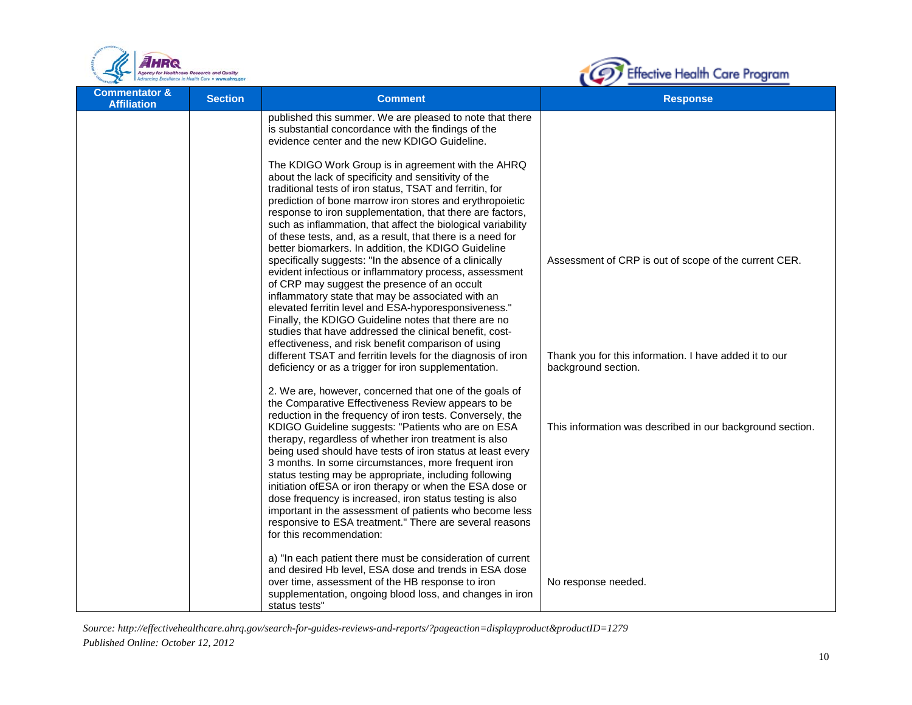



| <b>Commentator &amp;</b><br><b>Affiliation</b> | <b>Section</b> | <b>Comment</b>                                                                                                                                                                                                                                                                                                                                                                                                                                                                                                                                                                                                                                                                                                                                                                                                                                                                                                                                                                                                                                                                                                                                                                                                                                                                                                                                                                                                                                                                           | <b>Response</b>                                                                                                                                                                                     |
|------------------------------------------------|----------------|------------------------------------------------------------------------------------------------------------------------------------------------------------------------------------------------------------------------------------------------------------------------------------------------------------------------------------------------------------------------------------------------------------------------------------------------------------------------------------------------------------------------------------------------------------------------------------------------------------------------------------------------------------------------------------------------------------------------------------------------------------------------------------------------------------------------------------------------------------------------------------------------------------------------------------------------------------------------------------------------------------------------------------------------------------------------------------------------------------------------------------------------------------------------------------------------------------------------------------------------------------------------------------------------------------------------------------------------------------------------------------------------------------------------------------------------------------------------------------------|-----------------------------------------------------------------------------------------------------------------------------------------------------------------------------------------------------|
|                                                |                | published this summer. We are pleased to note that there<br>is substantial concordance with the findings of the<br>evidence center and the new KDIGO Guideline.                                                                                                                                                                                                                                                                                                                                                                                                                                                                                                                                                                                                                                                                                                                                                                                                                                                                                                                                                                                                                                                                                                                                                                                                                                                                                                                          |                                                                                                                                                                                                     |
|                                                |                | The KDIGO Work Group is in agreement with the AHRQ<br>about the lack of specificity and sensitivity of the<br>traditional tests of iron status, TSAT and ferritin, for<br>prediction of bone marrow iron stores and erythropoietic<br>response to iron supplementation, that there are factors,<br>such as inflammation, that affect the biological variability<br>of these tests, and, as a result, that there is a need for<br>better biomarkers. In addition, the KDIGO Guideline<br>specifically suggests: "In the absence of a clinically<br>evident infectious or inflammatory process, assessment<br>of CRP may suggest the presence of an occult<br>inflammatory state that may be associated with an<br>elevated ferritin level and ESA-hyporesponsiveness."<br>Finally, the KDIGO Guideline notes that there are no<br>studies that have addressed the clinical benefit, cost-<br>effectiveness, and risk benefit comparison of using<br>different TSAT and ferritin levels for the diagnosis of iron<br>deficiency or as a trigger for iron supplementation.<br>2. We are, however, concerned that one of the goals of<br>the Comparative Effectiveness Review appears to be<br>reduction in the frequency of iron tests. Conversely, the<br>KDIGO Guideline suggests: "Patients who are on ESA<br>therapy, regardless of whether iron treatment is also<br>being used should have tests of iron status at least every<br>3 months. In some circumstances, more frequent iron | Assessment of CRP is out of scope of the current CER.<br>Thank you for this information. I have added it to our<br>background section.<br>This information was described in our background section. |
|                                                |                | status testing may be appropriate, including following<br>initiation of ESA or iron therapy or when the ESA dose or<br>dose frequency is increased, iron status testing is also<br>important in the assessment of patients who become less<br>responsive to ESA treatment." There are several reasons<br>for this recommendation:                                                                                                                                                                                                                                                                                                                                                                                                                                                                                                                                                                                                                                                                                                                                                                                                                                                                                                                                                                                                                                                                                                                                                        |                                                                                                                                                                                                     |
|                                                |                | a) "In each patient there must be consideration of current<br>and desired Hb level, ESA dose and trends in ESA dose<br>over time, assessment of the HB response to iron<br>supplementation, ongoing blood loss, and changes in iron<br>status tests"                                                                                                                                                                                                                                                                                                                                                                                                                                                                                                                                                                                                                                                                                                                                                                                                                                                                                                                                                                                                                                                                                                                                                                                                                                     | No response needed.                                                                                                                                                                                 |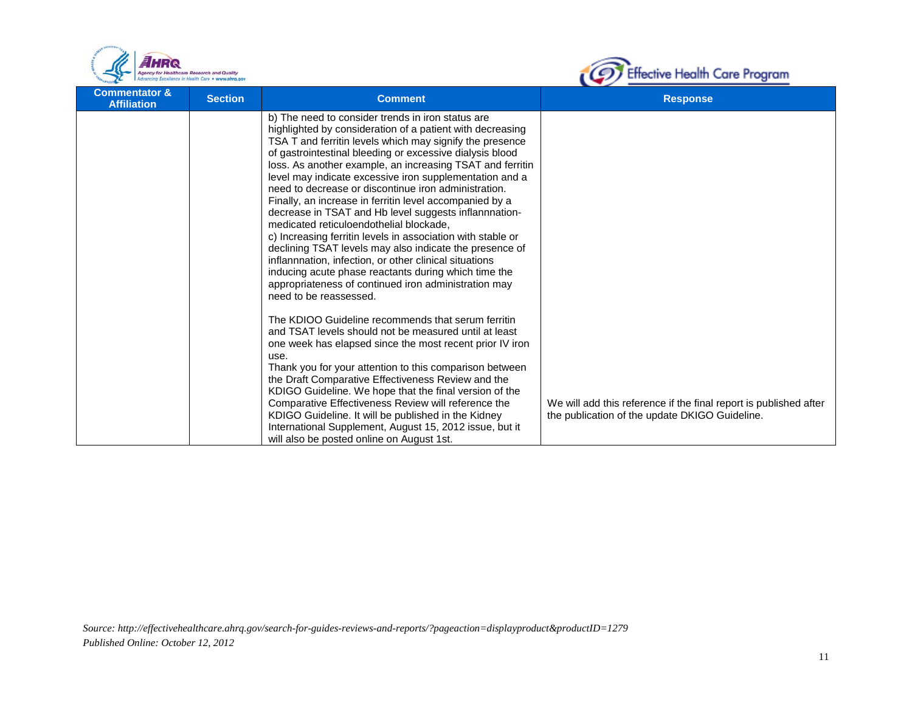



| <b>Commentator &amp;</b><br><b>Affiliation</b> | <b>Section</b> | <b>Comment</b>                                                                                                                                                                                                                                                                                                                                                                                                                                                                                                                                                                                                                                                                                                                                                                                                                                                                                                      | <b>Response</b>                                                                                                     |
|------------------------------------------------|----------------|---------------------------------------------------------------------------------------------------------------------------------------------------------------------------------------------------------------------------------------------------------------------------------------------------------------------------------------------------------------------------------------------------------------------------------------------------------------------------------------------------------------------------------------------------------------------------------------------------------------------------------------------------------------------------------------------------------------------------------------------------------------------------------------------------------------------------------------------------------------------------------------------------------------------|---------------------------------------------------------------------------------------------------------------------|
|                                                |                | b) The need to consider trends in iron status are<br>highlighted by consideration of a patient with decreasing<br>TSA T and ferritin levels which may signify the presence<br>of gastrointestinal bleeding or excessive dialysis blood<br>loss. As another example, an increasing TSAT and ferritin<br>level may indicate excessive iron supplementation and a<br>need to decrease or discontinue iron administration.<br>Finally, an increase in ferritin level accompanied by a<br>decrease in TSAT and Hb level suggests inflannnation-<br>medicated reticuloendothelial blockade.<br>c) Increasing ferritin levels in association with stable or<br>declining TSAT levels may also indicate the presence of<br>inflannnation, infection, or other clinical situations<br>inducing acute phase reactants during which time the<br>appropriateness of continued iron administration may<br>need to be reassessed. |                                                                                                                     |
|                                                |                | The KDIOO Guideline recommends that serum ferritin<br>and TSAT levels should not be measured until at least<br>one week has elapsed since the most recent prior IV iron<br>use.<br>Thank you for your attention to this comparison between<br>the Draft Comparative Effectiveness Review and the<br>KDIGO Guideline. We hope that the final version of the<br>Comparative Effectiveness Review will reference the<br>KDIGO Guideline. It will be published in the Kidney<br>International Supplement, August 15, 2012 issue, but it<br>will also be posted online on August 1st.                                                                                                                                                                                                                                                                                                                                    | We will add this reference if the final report is published after<br>the publication of the update DKIGO Guideline. |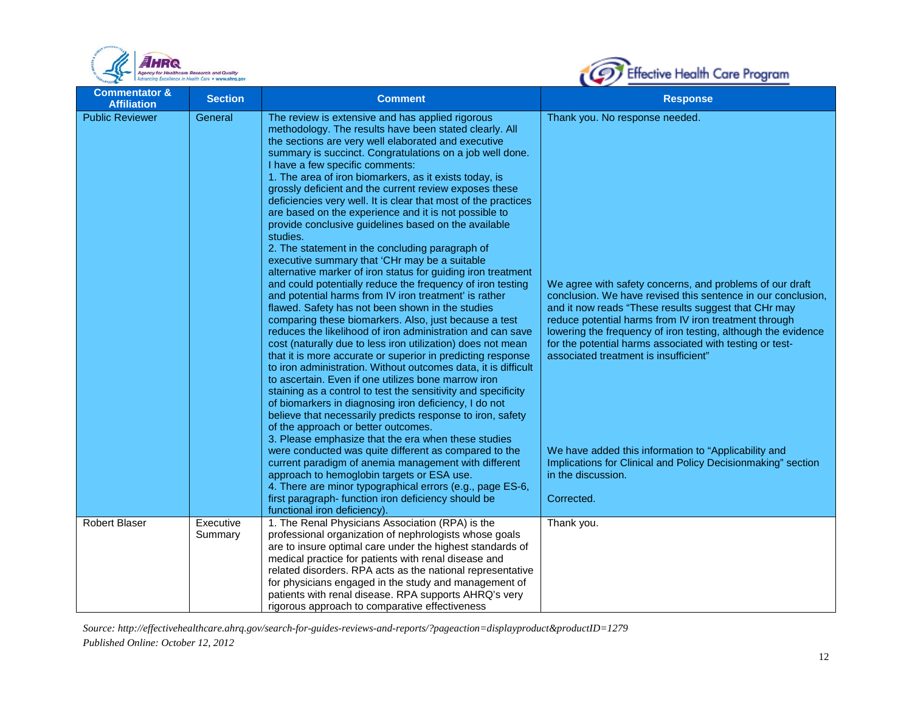



| <b>Commentator &amp;</b><br><b>Affiliation</b> | <b>Section</b>       | <b>Comment</b>                                                                                                                                                                                                                                                                                                                                                                                                                                                                                                                                                                                                                                                                                                                                                                                                                                                                                                                                                                                                                                                                                                                                                                                                                                                                                                                                                                                                                                                                                                                                                                                                                                                                                                                                                                                                                                                                                                            | <b>Response</b>                                                                                                                                                                                                                                                                                                                                                                                                                                                                                                                                                                                               |
|------------------------------------------------|----------------------|---------------------------------------------------------------------------------------------------------------------------------------------------------------------------------------------------------------------------------------------------------------------------------------------------------------------------------------------------------------------------------------------------------------------------------------------------------------------------------------------------------------------------------------------------------------------------------------------------------------------------------------------------------------------------------------------------------------------------------------------------------------------------------------------------------------------------------------------------------------------------------------------------------------------------------------------------------------------------------------------------------------------------------------------------------------------------------------------------------------------------------------------------------------------------------------------------------------------------------------------------------------------------------------------------------------------------------------------------------------------------------------------------------------------------------------------------------------------------------------------------------------------------------------------------------------------------------------------------------------------------------------------------------------------------------------------------------------------------------------------------------------------------------------------------------------------------------------------------------------------------------------------------------------------------|---------------------------------------------------------------------------------------------------------------------------------------------------------------------------------------------------------------------------------------------------------------------------------------------------------------------------------------------------------------------------------------------------------------------------------------------------------------------------------------------------------------------------------------------------------------------------------------------------------------|
| <b>Public Reviewer</b>                         | General              | The review is extensive and has applied rigorous<br>methodology. The results have been stated clearly. All<br>the sections are very well elaborated and executive<br>summary is succinct. Congratulations on a job well done.<br>I have a few specific comments:<br>1. The area of iron biomarkers, as it exists today, is<br>grossly deficient and the current review exposes these<br>deficiencies very well. It is clear that most of the practices<br>are based on the experience and it is not possible to<br>provide conclusive guidelines based on the available<br>studies.<br>2. The statement in the concluding paragraph of<br>executive summary that 'CHr may be a suitable<br>alternative marker of iron status for guiding iron treatment<br>and could potentially reduce the frequency of iron testing<br>and potential harms from IV iron treatment' is rather<br>flawed. Safety has not been shown in the studies<br>comparing these biomarkers. Also, just because a test<br>reduces the likelihood of iron administration and can save<br>cost (naturally due to less iron utilization) does not mean<br>that it is more accurate or superior in predicting response<br>to iron administration. Without outcomes data, it is difficult<br>to ascertain. Even if one utilizes bone marrow iron<br>staining as a control to test the sensitivity and specificity<br>of biomarkers in diagnosing iron deficiency, I do not<br>believe that necessarily predicts response to iron, safety<br>of the approach or better outcomes.<br>3. Please emphasize that the era when these studies<br>were conducted was quite different as compared to the<br>current paradigm of anemia management with different<br>approach to hemoglobin targets or ESA use.<br>4. There are minor typographical errors (e.g., page ES-6,<br>first paragraph- function iron deficiency should be<br>functional iron deficiency). | Thank you. No response needed.<br>We agree with safety concerns, and problems of our draft<br>conclusion. We have revised this sentence in our conclusion.<br>and it now reads "These results suggest that CHr may<br>reduce potential harms from IV iron treatment through<br>lowering the frequency of iron testing, although the evidence<br>for the potential harms associated with testing or test-<br>associated treatment is insufficient"<br>We have added this information to "Applicability and<br>Implications for Clinical and Policy Decisionmaking" section<br>in the discussion.<br>Corrected. |
| <b>Robert Blaser</b>                           | Executive<br>Summary | 1. The Renal Physicians Association (RPA) is the<br>professional organization of nephrologists whose goals<br>are to insure optimal care under the highest standards of<br>medical practice for patients with renal disease and<br>related disorders. RPA acts as the national representative<br>for physicians engaged in the study and management of<br>patients with renal disease. RPA supports AHRQ's very<br>rigorous approach to comparative effectiveness                                                                                                                                                                                                                                                                                                                                                                                                                                                                                                                                                                                                                                                                                                                                                                                                                                                                                                                                                                                                                                                                                                                                                                                                                                                                                                                                                                                                                                                         | Thank you.                                                                                                                                                                                                                                                                                                                                                                                                                                                                                                                                                                                                    |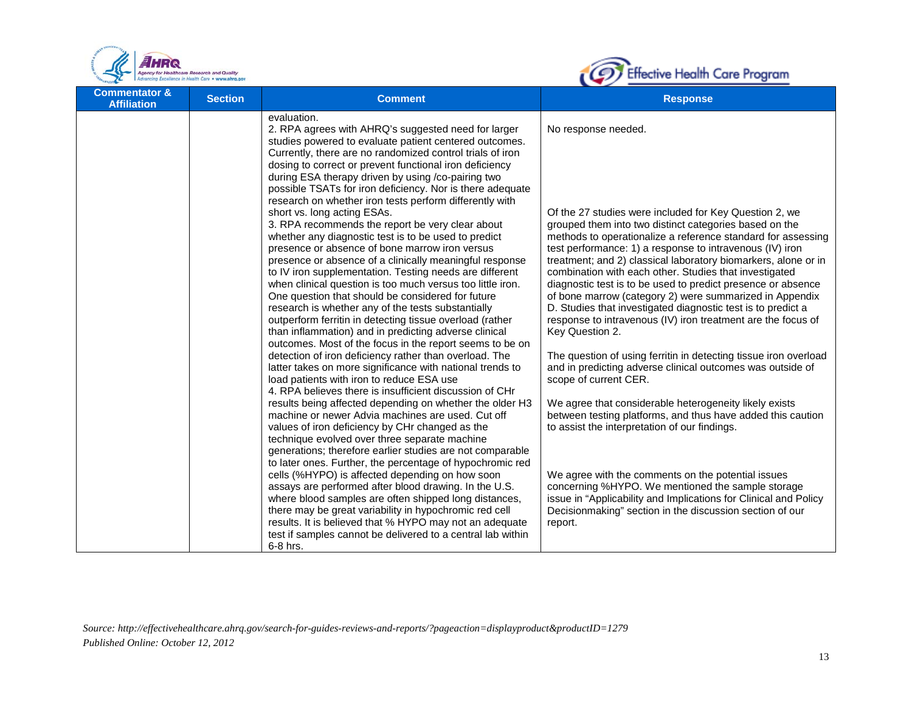



| <b>Commentator &amp;</b><br><b>Affiliation</b> | <b>Section</b> | <b>Comment</b>                                                                                                                                                                                                                                                                                                                                                                                                                                                                                                                                                                                                                                                                                                                                                                                                                                                                                                                                                                                                                                                                                                                                                                                                                                                                                                                                                                                                                                                                                                                                                                                                                                                                                                                                                                                                                                                                                                                                                                          | <b>Response</b>                                                                                                                                                                                                                                                                                                                                                                                                                                                                                                                                                                                                                                                                                                                                                                                                                                                                                                                                                                                                                                                                                                                                                                                                                                                          |
|------------------------------------------------|----------------|-----------------------------------------------------------------------------------------------------------------------------------------------------------------------------------------------------------------------------------------------------------------------------------------------------------------------------------------------------------------------------------------------------------------------------------------------------------------------------------------------------------------------------------------------------------------------------------------------------------------------------------------------------------------------------------------------------------------------------------------------------------------------------------------------------------------------------------------------------------------------------------------------------------------------------------------------------------------------------------------------------------------------------------------------------------------------------------------------------------------------------------------------------------------------------------------------------------------------------------------------------------------------------------------------------------------------------------------------------------------------------------------------------------------------------------------------------------------------------------------------------------------------------------------------------------------------------------------------------------------------------------------------------------------------------------------------------------------------------------------------------------------------------------------------------------------------------------------------------------------------------------------------------------------------------------------------------------------------------------------|--------------------------------------------------------------------------------------------------------------------------------------------------------------------------------------------------------------------------------------------------------------------------------------------------------------------------------------------------------------------------------------------------------------------------------------------------------------------------------------------------------------------------------------------------------------------------------------------------------------------------------------------------------------------------------------------------------------------------------------------------------------------------------------------------------------------------------------------------------------------------------------------------------------------------------------------------------------------------------------------------------------------------------------------------------------------------------------------------------------------------------------------------------------------------------------------------------------------------------------------------------------------------|
|                                                |                | evaluation.<br>2. RPA agrees with AHRQ's suggested need for larger<br>studies powered to evaluate patient centered outcomes.<br>Currently, there are no randomized control trials of iron<br>dosing to correct or prevent functional iron deficiency<br>during ESA therapy driven by using /co-pairing two<br>possible TSATs for iron deficiency. Nor is there adequate<br>research on whether iron tests perform differently with<br>short vs. long acting ESAs.<br>3. RPA recommends the report be very clear about<br>whether any diagnostic test is to be used to predict<br>presence or absence of bone marrow iron versus<br>presence or absence of a clinically meaningful response<br>to IV iron supplementation. Testing needs are different<br>when clinical question is too much versus too little iron.<br>One question that should be considered for future<br>research is whether any of the tests substantially<br>outperform ferritin in detecting tissue overload (rather<br>than inflammation) and in predicting adverse clinical<br>outcomes. Most of the focus in the report seems to be on<br>detection of iron deficiency rather than overload. The<br>latter takes on more significance with national trends to<br>load patients with iron to reduce ESA use<br>4. RPA believes there is insufficient discussion of CHr<br>results being affected depending on whether the older H3<br>machine or newer Advia machines are used. Cut off<br>values of iron deficiency by CHr changed as the<br>technique evolved over three separate machine<br>generations; therefore earlier studies are not comparable<br>to later ones. Further, the percentage of hypochromic red<br>cells (%HYPO) is affected depending on how soon<br>assays are performed after blood drawing. In the U.S.<br>where blood samples are often shipped long distances,<br>there may be great variability in hypochromic red cell<br>results. It is believed that % HYPO may not an adequate | No response needed.<br>Of the 27 studies were included for Key Question 2, we<br>grouped them into two distinct categories based on the<br>methods to operationalize a reference standard for assessing<br>test performance: 1) a response to intravenous (IV) iron<br>treatment; and 2) classical laboratory biomarkers, alone or in<br>combination with each other. Studies that investigated<br>diagnostic test is to be used to predict presence or absence<br>of bone marrow (category 2) were summarized in Appendix<br>D. Studies that investigated diagnostic test is to predict a<br>response to intravenous (IV) iron treatment are the focus of<br>Key Question 2.<br>The question of using ferritin in detecting tissue iron overload<br>and in predicting adverse clinical outcomes was outside of<br>scope of current CER.<br>We agree that considerable heterogeneity likely exists<br>between testing platforms, and thus have added this caution<br>to assist the interpretation of our findings.<br>We agree with the comments on the potential issues<br>concerning %HYPO. We mentioned the sample storage<br>issue in "Applicability and Implications for Clinical and Policy<br>Decisionmaking" section in the discussion section of our<br>report. |
|                                                |                | test if samples cannot be delivered to a central lab within<br>6-8 hrs.                                                                                                                                                                                                                                                                                                                                                                                                                                                                                                                                                                                                                                                                                                                                                                                                                                                                                                                                                                                                                                                                                                                                                                                                                                                                                                                                                                                                                                                                                                                                                                                                                                                                                                                                                                                                                                                                                                                 |                                                                                                                                                                                                                                                                                                                                                                                                                                                                                                                                                                                                                                                                                                                                                                                                                                                                                                                                                                                                                                                                                                                                                                                                                                                                          |